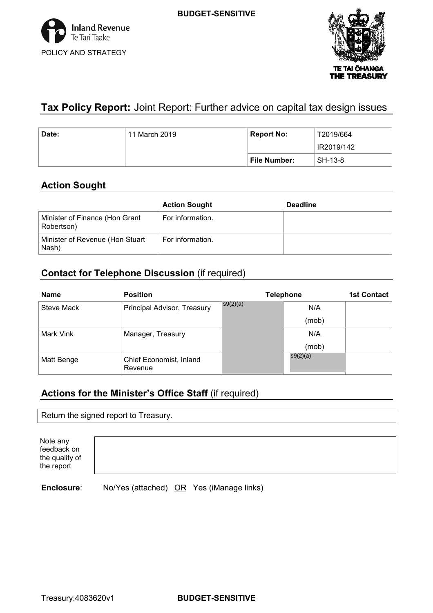

# **Tax Policy Report:** Joint Report: Further advice on capital tax design issues

| Date: | 11 March 2019 | <b>Report No:</b> | T2019/664  |
|-------|---------------|-------------------|------------|
|       |               |                   | IR2019/142 |
|       |               | File Number:      | SH-13-8    |

# **Action Sought**

|                                              | <b>Action Sought</b> | <b>Deadline</b> |
|----------------------------------------------|----------------------|-----------------|
| Minister of Finance (Hon Grant<br>Robertson) | For information.     |                 |
| Minister of Revenue (Hon Stuart<br>Nash)     | For information.     |                 |

# **Contact for Telephone Discussion** (if required)

| <b>Name</b> | <b>Position</b>                    | <b>Telephone</b> |          | <b>1st Contact</b> |
|-------------|------------------------------------|------------------|----------|--------------------|
| Steve Mack  | Principal Advisor, Treasury        | s9(2)(a)         | N/A      |                    |
|             |                                    |                  | (mob)    |                    |
| Mark Vink   | Manager, Treasury                  |                  | N/A      |                    |
|             |                                    |                  | (mob)    |                    |
| Matt Benge  | Chief Economist, Inland<br>Revenue |                  | s9(2)(a) |                    |

# **Actions for the Minister's Office Staff** (if required)

| Return the signed report to Treasury. |  |  |
|---------------------------------------|--|--|
|---------------------------------------|--|--|

| Note any<br>feedback on<br>the quality of<br>the report |
|---------------------------------------------------------|
|---------------------------------------------------------|

**Enclosure**: No/Yes (attached) OR Yes (iManage links)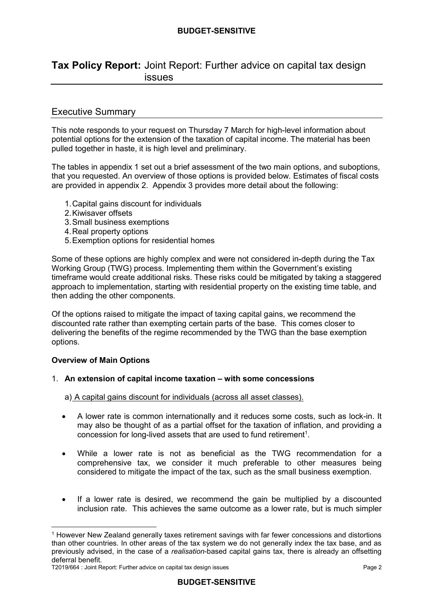# **Tax Policy Report:** Joint Report: Further advice on capital tax design issues

## Executive Summary

 This note responds to your request on Thursday 7 March for high-level information about potential options for the extension of the taxation of capital income. The material has been pulled together in haste, it is high level and preliminary.

 The tables in appendix 1 set out a brief assessment of the two main options, and suboptions, that you requested. An overview of those options is provided below. Estimates of fiscal costs are provided in appendix 2. Appendix 3 provides more detail about the following:

- 1.Capital gains discount for individuals
- 2.Kiwisaver offsets
- 3.Small business exemptions
- 4.Real property options
- 5.Exemption options for residential homes

 Some of these options are highly complex and were not considered in-depth during the Tax Working Group (TWG) process. Implementing them within the Government's existing timeframe would create additional risks. These risks could be mitigated by taking a staggered approach to implementation, starting with residential property on the existing time table, and then adding the other components.

 Of the options raised to mitigate the impact of taxing capital gains, we recommend the discounted rate rather than exempting certain parts of the base. This comes closer to delivering the benefits of the regime recommended by the TWG than the base exemption options.

### **Overview of Main Options**

 $\overline{a}$ 

#### 1. **An extension of capital income taxation – with some concessions**

a) A capital gains discount for individuals (across all asset classes).

- $\bullet$  may also be thought of as a partial offset for the taxation of inflation, and providing a concession for long-lived assets that are used to fund retirement<sup>1</sup>. • A lower rate is common internationally and it reduces some costs, such as lock-in. It
- $\bullet$  comprehensive tax, we consider it much preferable to other measures being considered to mitigate the impact of the tax, such as the small business exemption. • While a lower rate is not as beneficial as the TWG recommendation for a
- $\bullet$  inclusion rate. This achieves the same outcome as a lower rate, but is much simpler If a lower rate is desired, we recommend the gain be multiplied by a discounted

 $^{\rm 1}$  However New Zealand generally taxes retirement savings with far fewer concessions and distortions than other countries. In other areas of the tax system we do not generally index the tax base, and as previously advised, in the case of a *realisation*-based capital gains tax, there is already an offsetting deferral benefit.

 T2019/664 : Joint Report: Further advice on capital tax design issues Page 2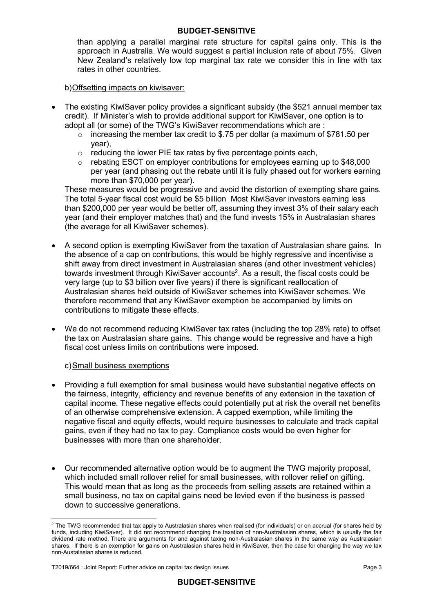### **BUDGET-SENSITIVE**

 than applying a parallel marginal rate structure for capital gains only. This is the approach in Australia. We would suggest a partial inclusion rate of about 75%. Given New Zealand's relatively low top marginal tax rate we consider this in line with tax rates in other countries.

#### b)Offsetting impacts on kiwisaver:

- credit). If Minister's wish to provide additional support for KiwiSaver, one option is to adopt all (or some) of the TWG's KiwiSaver recommendations which are : • The existing KiwiSaver policy provides a significant subsidy (the \$521 annual member tax
	- $\circ$   $\;$  increasing the member tax credit to \$.75 per dollar (a maximum of \$781.50 per year),
	- $\circ$  reducing the lower PIE tax rates by five percentage points each,
	- $\circ$  per year (and phasing out the rebate until it is fully phased out for workers earning more than \$70,000 per year). rebating ESCT on employer contributions for employees earning up to \$48,000

 These measures would be progressive and avoid the distortion of exempting share gains. The total 5-year fiscal cost would be \$5 billion Most KiwiSaver investors earning less than \$200,000 per year would be better off, assuming they invest 3% of their salary each year (and their employer matches that) and the fund invests 15% in Australasian shares (the average for all KiwiSaver schemes).

- the absence of a cap on contributions, this would be highly regressive and incentivise a shift away from direct investment in Australasian shares (and other investment vehicles) towards investment through KiwiSaver accounts<sup>2</sup>. As a result, the fiscal costs could be very large (up to \$3 billion over five years) if there is significant reallocation of Australasian shares held outside of KiwiSaver schemes into KiwiSaver schemes. We therefore recommend that any KiwiSaver exemption be accompanied by limits on contributions to mitigate these effects. • A second option is exempting KiwiSaver from the taxation of Australasian share gains. In
- the tax on Australasian share gains. This change would be regressive and have a high fiscal cost unless limits on contributions were imposed. • We do not recommend reducing KiwiSaver tax rates (including the top 28% rate) to offset

### c)Small business exemptions

 $\overline{a}$ 

- • Providing a full exemption for small business would have substantial negative effects on the fairness, integrity, efficiency and revenue benefits of any extension in the taxation of capital income. These negative effects could potentially put at risk the overall net benefits of an otherwise comprehensive extension. A capped exemption, while limiting the negative fiscal and equity effects, would require businesses to calculate and track capital gains, even if they had no tax to pay. Compliance costs would be even higher for businesses with more than one shareholder.
- which included small rollover relief for small businesses, with rollover relief on gifting. This would mean that as long as the proceeds from selling assets are retained within a small business, no tax on capital gains need be levied even if the business is passed down to successive generations. • Our recommended alternative option would be to augment the TWG majority proposal,

 $^2$  The TWG recommended that tax apply to Australasian shares when realised (for individuals) or on accrual (for shares held by funds, including KiwiSaver). It did not recommend changing the taxation of non-Australasian shares, which is usually the fair dividend rate method. There are arguments for and against taxing non-Australasian shares in the same way as Australasian shares. If there is an exemption for gains on Australasian shares held in KiwiSaver, then the case for changing the way we tax non-Austalasian shares is reduced.

 T2019/664 : Joint Report: Further advice on capital tax design issues Page 3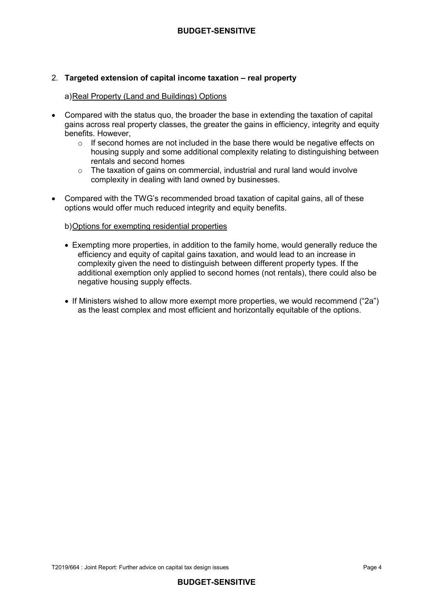### 2. **Targeted extension of capital income taxation – real property**

#### a)Real Property (Land and Buildings) Options

- • Compared with the status quo, the broader the base in extending the taxation of capital gains across real property classes, the greater the gains in efficiency, integrity and equity benefits. However,
	- $\circ$  If second homes are not included in the base there would be negative effects on housing supply and some additional complexity relating to distinguishing between rentals and second homes
	- $\circ$  The taxation of gains on commercial, industrial and rural land would involve complexity in dealing with land owned by businesses.
- • Compared with the TWG's recommended broad taxation of capital gains, all of these options would offer much reduced integrity and equity benefits.

#### b)Options for exempting residential properties

- • Exempting more properties, in addition to the family home, would generally reduce the efficiency and equity of capital gains taxation, and would lead to an increase in complexity given the need to distinguish between different property types. If the additional exemption only applied to second homes (not rentals), there could also be negative housing supply effects.
- • If Ministers wished to allow more exempt more properties, we would recommend ("2a") as the least complex and most efficient and horizontally equitable of the options.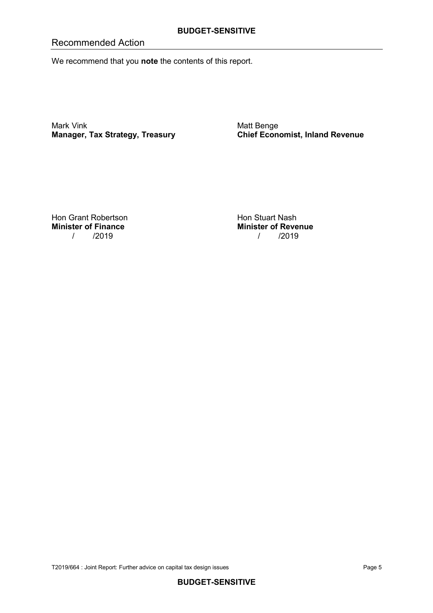## Recommended Action

We recommend that you **note** the contents of this report.

Mark Vink **Manager, Tax Strategy, Treasury**  Matt Benge **Manager, Tax Strategy, Treasury Chief Economist, Inland Revenue**

Hon Grant Robertson **Hon Stuart Nash Minister of Finance**  $\sqrt{ }$ / /2019 / /2019

**Minister of Revenue**<br>/ / /2019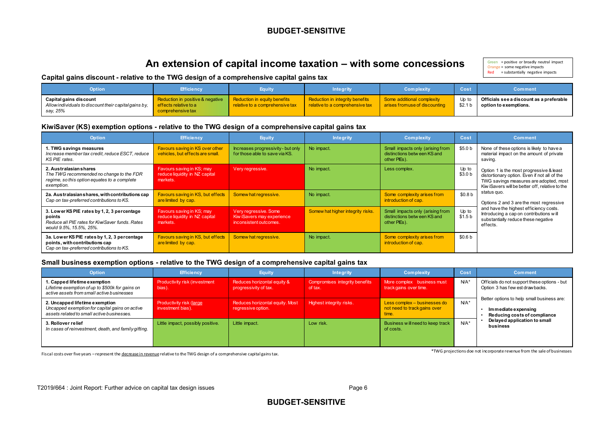# **An extension of capital income taxation – with some concessions**

Green <sup>=</sup> positive or broadly neutral impact Orange <sup>=</sup> some negative impacts Red = substantially negative impacts

**Capital gains discount - relative to the TWG design of <sup>a</sup> comprehensive capital gains tax** 

| Option <sup>1</sup>                                                                        | <b>Efficiency</b>                                                              | <b>Equity</b>                                                          | Integrity                                                          | <b>Complexity</b>                                           | Cost                        | Comment                                                           |
|--------------------------------------------------------------------------------------------|--------------------------------------------------------------------------------|------------------------------------------------------------------------|--------------------------------------------------------------------|-------------------------------------------------------------|-----------------------------|-------------------------------------------------------------------|
| Capital gains discount<br>Allowindividuals to discount their capital gains by.<br>say, 25% | Reduction in positive & negative<br>effects relative to a<br>comprehensive tax | <b>Reduction in equity benefits</b><br>relative to a comprehensive tax | Reduction in integrity benefits<br>relative to a comprehensive tax | Some additional complexity<br>arises fromuse of discounting | Up to<br>\$2.1 <sub>b</sub> | Officials see a discount as a preferable<br>option to exemptions. |

#### **KiwiSaver (KS) exemption options - relative to the TWG design of <sup>a</sup> comprehensive capital gains tax**

| <b>Option</b>                                                                                                                       | <b>Efficiency</b>                                                          | <b>Equity</b>                                                                 | Integrity                         | <b>Complexity</b>                                                                | Cost                          | <b>Comment</b>                                                                                                                                                                        |
|-------------------------------------------------------------------------------------------------------------------------------------|----------------------------------------------------------------------------|-------------------------------------------------------------------------------|-----------------------------------|----------------------------------------------------------------------------------|-------------------------------|---------------------------------------------------------------------------------------------------------------------------------------------------------------------------------------|
| 1. TWG savings measures<br>Increase member tax credit, reduce ESCT, reduce<br>KS PIE rates.                                         | <b>Favours saving in KS over other</b><br>vehicles, but effects are small. | Increases progressivity - but only<br>for those able to save via KS.          | No impact.                        | Small impacts only (arising from<br>distinctions between KS and<br>other PIEs).  | \$5.0 b                       | None of these options is likely to have a<br>material impact on the amount of private<br>saving.                                                                                      |
| 2. Australasian shares<br>The TWG recommended no change to the FDR<br>regime, so this option equates to a complete<br>exemption.    | Favours saving in KS; may<br>reduce liquidity in NZ capital<br>markets.    | Very regressive.                                                              | No impact.                        | Less complex.                                                                    | $Up$ to<br>\$3.0 <sub>b</sub> | Option 1 is the most progressive & least<br>distortionary option. Even if not all of the<br>TWG savings measures are adopted, most<br>Kiw iSavers will be better off, relative to the |
| 2a. Australasian shares, with contributions cap<br>Cap on tax-preferred contributions to KS.                                        | Favours saving in KS, but effects<br>are limited by cap.                   | Somew hat regressive.                                                         | No impact.                        | Some complexity arises from<br>introduction of cap.                              | \$0.8 <sub>b</sub>            | status quo.<br>Options 2 and 3 are the most regressive                                                                                                                                |
| 3. Lower KS PIE rates by 1, 2, 3 percentage<br>points<br>Reduce all PIE rates for KiwiSaver funds. Rates<br>would 9.5%, 15.5%, 25%. | Favours saving in KS; may<br>reduce liquidity in NZ capital<br>markets.    | Very regressive. Some<br>Kiw iSavers may experience<br>inconsistent outcomes. | Somew hat higher integrity risks. | Small impacts only (arising from<br>distinctions betw een KS and<br>other PIEs). | Up to<br>\$1.5 <sub>b</sub>   | and have the highest efficiency costs.<br>Introducing a cap on contributions will<br>substantially reduce these negative<br>effects.                                                  |
| 3a. Lower KS PIE rates by 1, 2, 3 percentage<br>points, with contributions cap<br>Cap on tax-preferred contributions to KS.         | Favours saving in KS, but effects<br>are limited by cap.                   | Somew hat regressive.                                                         | No impact.                        | Some complexity arises from<br>introduction of cap.                              | \$0.6 b                       |                                                                                                                                                                                       |

#### **Small business exemption options - relative to the TWG design of <sup>a</sup> comprehensive capital gains tax**

| <b>Option</b>                                                                                                                  | <b>Efficiency</b>                             | <b>Equity</b>                                         | <b>Integrity</b>                          | <b>Complexity</b>                                                     | Cost    | <b>Comment</b>                                                                                     |
|--------------------------------------------------------------------------------------------------------------------------------|-----------------------------------------------|-------------------------------------------------------|-------------------------------------------|-----------------------------------------------------------------------|---------|----------------------------------------------------------------------------------------------------|
| 1. Capped lifetime exemption<br>Lifetime exemption of up to \$500k for gains on<br>active assets from small active businesses  | Productivity risk (investment<br>bias).       | Reduces horizontal equity &<br>progressivity of tax.  | Compromises integrity benefits<br>of tax. | More complex business must<br>track gains over time.                  | N/A'    | Officials do not support these options - but<br>Option 3 has few est drawbacks.                    |
| 2. Uncapped lifetime exemption<br>Uncapped exemption for capital gains on active<br>assets related to small active businesses. | Productivity risk (large<br>investment bias). | Reduces horizontal equity. Most<br>regressive option. | Highest integrity risks.                  | Less complex - businesses do<br>not need to track gains over<br>time. | $N/A^*$ | Better options to help small business are:<br>Im mediate expensing<br>Reducing costs of compliance |
| 3. Rollover relief<br>In cases of reinvestment, death, and family gifting.                                                     | Little impact, possibly positive.             | Little impact.                                        | Low risk.                                 | Business will need to keep track<br>of costs.                         | $N/A^*$ | Delayed application to small<br>business                                                           |

Fiscal costs over five years – represent the decrease in revenue relative to the TWG design of a comprehensive capital gains tax.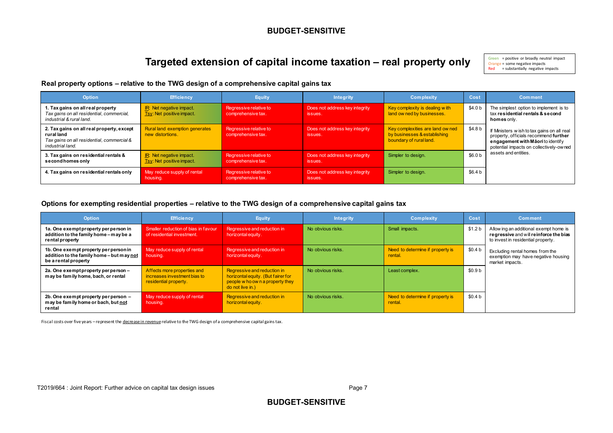### **BUDGET-SENSITIVE**

# Targeted extension of capital income taxation – real property only Streen = positive or broadly neutral impact

 $Red$  = substantially negative impacts

**Real property options – relative to the TWG design of <sup>a</sup> comprehensive capital gains tax**

| <b>Option</b>                                                                                                             | <b>Efficiency</b>                                            | <b>Equity</b>                                | Integrity                                 | <b>Complexity</b>                                                                           | Cost               | Comment                                                                                                                                                              |
|---------------------------------------------------------------------------------------------------------------------------|--------------------------------------------------------------|----------------------------------------------|-------------------------------------------|---------------------------------------------------------------------------------------------|--------------------|----------------------------------------------------------------------------------------------------------------------------------------------------------------------|
| 1. Tax gains on all real property<br>Tax gains on all residential, commercial,<br>industrial & rural land.                | <b>IR:</b> Net negative impact.<br>Tsy: Net positive impact. | Regressive relative to<br>comprehensive tax. | Does not address key integrity<br>issues. | Key complexity is dealing with<br>land ow ned by businesses.                                | \$4.0 b            | The simplest option to implement is to<br>tax residential rentals & second<br>homes only.                                                                            |
| 2. Tax gains on all real property, except<br>rural land<br>Tax gains on all residential, commercial &<br>industrial land. | <b>Rural land exemption generates</b><br>new distortions.    | Regressive relative to<br>comprehensive tax. | Does not address key integrity<br>issues. | Key complexities are land ow ned<br>by businesses & establishing<br>boundary of rural land. | \$4.8 <sub>b</sub> | If Ministers w ish to tax gains on all real<br>property, officials recommend further<br>engagement with Maori to identify<br>potential impacts on collectively-owned |
| 3. Tax gains on residential rentals &<br>second homes only                                                                | <b>R:</b> Net negative impact.<br>Tsy: Net positive impact.  | Regressive relative to<br>comprehensive tax. | Does not address key integrity<br>issues. | Simpler to design.                                                                          | \$6.0 b            | assets and entities.                                                                                                                                                 |
| 4. Tax gains on residential rentals only                                                                                  | May reduce supply of rental<br>housing.                      | Regressive relative to<br>comprehensive tax. | Does not address key integrity<br>issues. | Simpler to design.                                                                          | \$6.4 b            |                                                                                                                                                                      |

**Options for exempting residential properties – relative to the TWG design of <sup>a</sup> comprehensive capital gains tax**

| <b>Option</b>                                                                                              | <b>Efficiency</b>                                                                    | Equity                                                                                                                    | Integrity         | <b>Complexity</b>                           | Cost               | <b>Comment</b>                                                                                                         |
|------------------------------------------------------------------------------------------------------------|--------------------------------------------------------------------------------------|---------------------------------------------------------------------------------------------------------------------------|-------------------|---------------------------------------------|--------------------|------------------------------------------------------------------------------------------------------------------------|
| 1a. One exempt property per person in<br>addition to the family home - may be a<br>rental property         | Smaller reduction of bias in favour<br>of residential investment.                    | Regressive and reduction in<br>horizontal equity.                                                                         | No obvious risks. | Small impacts.                              | \$1.2 <sub>b</sub> | Allow ing an additional exempt home is<br>regressive and will reinforce the bias<br>to invest in residential property. |
| 1b. One exempt property per person in<br>addition to the family home - but may not<br>be a rental property | May reduce supply of rental<br>housing.                                              | Regressive and reduction in<br>horizontal equity.                                                                         | No obvious risks. | Need to determine if property is<br>rental. | \$0.4 <sub>b</sub> | Excluding rental homes from the<br>exemption may have negative housing<br>market impacts.                              |
| 2a. One exempt property per person -<br>may be family home, bach, or rental                                | Affects more properties and<br>increases investment bias to<br>residential property. | Regressive and reduction in<br>horizontal equity. (But fairer for<br>people w ho ow n a property they<br>do not live in.) | No obvious risks. | Least complex.                              | \$0.9 <sub>b</sub> |                                                                                                                        |
| 2b. One exempt property per person -<br>may be family home or bach, but not<br>rental                      | May reduce supply of rental<br>housing.                                              | Regressive and reduction in<br>horizontal equity.                                                                         | No obvious risks. | Need to determine if property is<br>rental. | \$0.4 <sub>b</sub> |                                                                                                                        |

Fiscal costs over five years – represent the <u>decrease in revenue</u> relative to the TWG design of a comprehensive capital gains tax.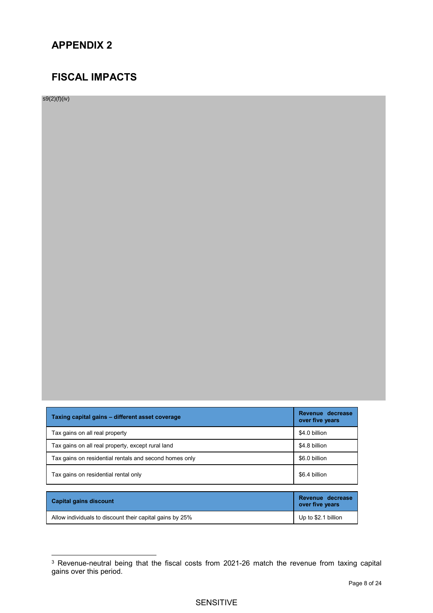# **APPENDIX 2**

## **FISCAL IMPACTS**

s9(2)(f)(iv)

 $\overline{a}$ 

| Taxing capital gains - different asset coverage        | Revenue decrease<br>over five years               |
|--------------------------------------------------------|---------------------------------------------------|
| Tax gains on all real property                         | \$4.0 billion                                     |
| Tax gains on all real property, except rural land      | \$4.8 billion                                     |
| Tax gains on residential rentals and second homes only | \$6.0 billion                                     |
| Tax gains on residential rental only                   | \$6.4 billion                                     |
|                                                        |                                                   |
| <b>Capital gains discount</b>                          | Revenue decrease<br><u>and a fine a community</u> |

Allow individuals to discount their capital gains by 25% Network Controllering the Up to \$2.1 billion **over five years**

 $^3$  Revenue-neutral being that the fiscal costs from 2021-26 match the revenue from taxing capital gains over this period.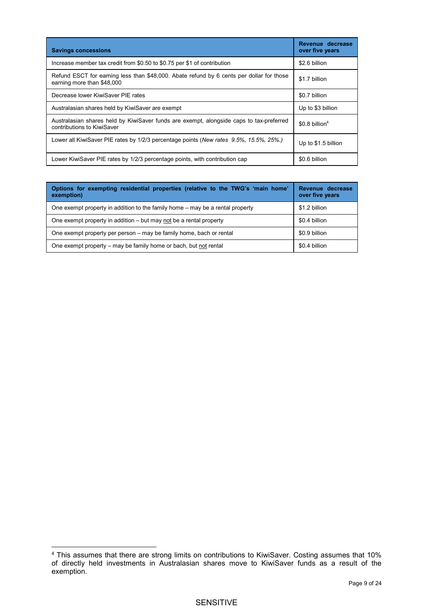| <b>Savings concessions</b>                                                                                             | Revenue decrease<br>over five years |
|------------------------------------------------------------------------------------------------------------------------|-------------------------------------|
| Increase member tax credit from \$0.50 to \$0.75 per \$1 of contribution                                               | \$2.6 billion                       |
| Refund ESCT for earning less than \$48,000. Abate refund by 6 cents per dollar for those<br>earning more than \$48,000 | \$1.7 billion                       |
| Decrease lower KiwiSaver PIE rates                                                                                     | \$0.7 billion                       |
| Australasian shares held by KiwiSaver are exempt                                                                       | Up to \$3 billion                   |
| Australasian shares held by KiwiSaver funds are exempt, alongside caps to tax-preferred<br>contributions to KiwiSaver  | $$0.8$ billion <sup>4</sup>         |
| Lower all KiwiSaver PIE rates by 1/2/3 percentage points (New rates 9.5%, 15.5%, 25%.)                                 | Up to \$1.5 billion                 |
| Lower KiwiSaver PIE rates by 1/2/3 percentage points, with contribution cap                                            | \$0.6 billion                       |

| Options for exempting residential properties (relative to the TWG's 'main home'<br>exemption) | Revenue decrease<br>over five years |
|-----------------------------------------------------------------------------------------------|-------------------------------------|
| One exempt property in addition to the family home – may be a rental property                 | \$1.2 billion                       |
| One exempt property in addition – but may not be a rental property                            | \$0.4 billion                       |
| One exempt property per person – may be family home, bach or rental                           | \$0.9 billion                       |
| One exempt property – may be family home or bach, but not rental                              | \$0.4 billion                       |

 $4$  This assumes that there are strong limits on contributions to KiwiSaver. Costing assumes that 10% of directly held investments in Australasian shares move to KiwiSaver funds as a result of the exemption.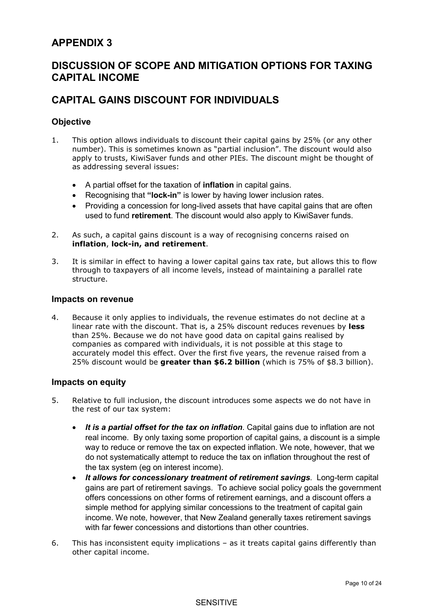# **APPENDIX 3**

# **DISCUSSION OF SCOPE AND MITIGATION OPTIONS FOR TAXING CAPITAL INCOME**

# **CAPITAL GAINS DISCOUNT FOR INDIVIDUALS**

## **Objective**

- 1. This option allows individuals to discount their capital gains by 25% (or any other number). This is sometimes known as "partial inclusion". The discount would also apply to trusts, KiwiSaver funds and other PIEs. The discount might be thought of as addressing several issues:
	- A partial offset for the taxation of **inflation** in capital gains.
	- Recognising that **"lock-in"** is lower by having lower inclusion rates.
	- • Providing a concession for long-lived assets that have capital gains that are often used to fund **retirement**. The discount would also apply to KiwiSaver funds.
- 2. As such, a capital gains discount is a way of recognising concerns raised on **inflation**, **lock-in, and retirement**.
- 3. It is similar in effect to having a lower capital gains tax rate, but allows this to flow through to taxpayers of all income levels, instead of maintaining a parallel rate structure.

### **Impacts on revenue**

 linear rate with the discount. That is, a 25% discount reduces revenues by **less**  companies as compared with individuals, it is not possible at this stage to 4. Because it only applies to individuals, the revenue estimates do not decline at a than 25%. Because we do not have good data on capital gains realised by accurately model this effect. Over the first five years, the revenue raised from a 25% discount would be **greater than \$6.2 billion** (which is 75% of \$8.3 billion).

### **Impacts on equity**

- 5. Relative to full inclusion, the discount introduces some aspects we do not have in the rest of our tax system:
	- • *It is a partial offset for the tax on inflation*. Capital gains due to inflation are not real income. By only taxing some proportion of capital gains, a discount is a simple way to reduce or remove the tax on expected inflation. We note, however, that we do not systematically attempt to reduce the tax on inflation throughout the rest of the tax system (eg on interest income).
	- gains are part of retirement savings. To achieve social policy goals the government offers concessions on other forms of retirement earnings, and a discount offers a simple method for applying similar concessions to the treatment of capital gain income. We note, however, that New Zealand generally taxes retirement savings with far fewer concessions and distortions than other countries. • *It allows for concessionary treatment of retirement savings*. Long-term capital
- 6. This has inconsistent equity implications as it treats capital gains differently than other capital income.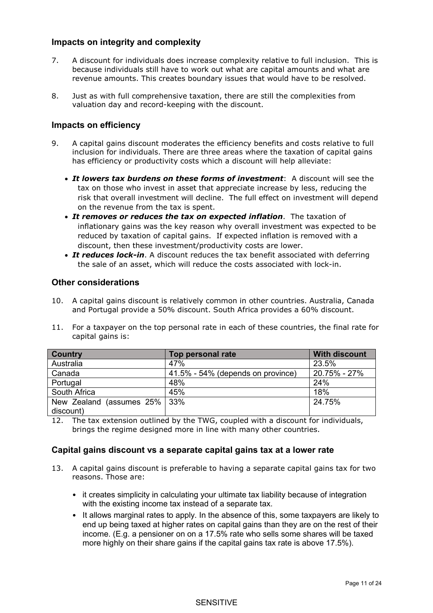## **Impacts on integrity and complexity**

- 7. A discount for individuals does increase complexity relative to full inclusion. This is revenue amounts. This creates boundary issues that would have to be resolved. because individuals still have to work out what are capital amounts and what are
- 8. Just as with full comprehensive taxation, there are still the complexities from valuation day and record-keeping with the discount.

## **Impacts on efficiency**

- has efficiency or productivity costs which a discount will help alleviate: 9. A capital gains discount moderates the efficiency benefits and costs relative to full inclusion for individuals. There are three areas where the taxation of capital gains
	- *It lowers tax burdens on these forms of investment*: A discount will see the tax on those who invest in asset that appreciate increase by less, reducing the risk that overall investment will decline. The full effect on investment will depend on the revenue from the tax is spent.
	- *It removes or reduces the tax on expected inflation*. The taxation of reduced by taxation of capital gains. If expected inflation is removed with a inflationary gains was the key reason why overall investment was expected to be discount, then these investment/productivity costs are lower.
	- *It reduces lock-in*. A discount reduces the tax benefit associated with deferring the sale of an asset, which will reduce the costs associated with lock-in.

### **Other considerations**

- and Portugal provide a 50% discount. South Africa provides a 60% discount. 10. A capital gains discount is relatively common in other countries. Australia, Canada
- 11. For a taxpayer on the top personal rate in each of these countries, the final rate for capital gains is:

| <b>Country</b>               | Top personal rate                 | <b>With discount</b> |
|------------------------------|-----------------------------------|----------------------|
| Australia                    | 47%                               | 23.5%                |
| Canada                       | 41.5% - 54% (depends on province) | 20.75% - 27%         |
| Portugal                     | 48%                               | 24%                  |
| South Africa                 | 45%                               | 18%                  |
| New Zealand (assumes 25% 33% |                                   | 24.75%               |
| discount)                    |                                   |                      |

12. The tax extension outlined by the TWG, coupled with a discount for individuals, brings the regime designed more in line with many other countries.

### **Capital gains discount vs a separate capital gains tax at a lower rate**

- 13. A capital gains discount is preferable to having a separate capital gains tax for two reasons. Those are:
	- • it creates simplicity in calculating your ultimate tax liability because of integration with the existing income tax instead of a separate tax.
	- • It allows marginal rates to apply. In the absence of this, some taxpayers are likely to end up being taxed at higher rates on capital gains than they are on the rest of their income. (E.g. a pensioner on on a 17.5% rate who sells some shares will be taxed more highly on their share gains if the capital gains tax rate is above 17.5%).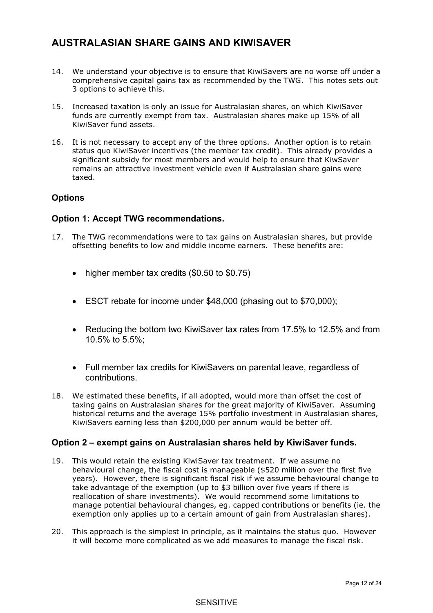# **AUSTRALASIAN SHARE GAINS AND KIWISAVER**

- comprehensive capital gains tax as recommended by the TWG. This notes sets out 14. We understand your objective is to ensure that KiwiSavers are no worse off under a 3 options to achieve this.
- funds are currently exempt from tax. Australasian shares make up 15% of all KiwiSaver fund assets. 15. Increased taxation is only an issue for Australasian shares, on which KiwiSaver
- KiwiSaver fund assets.<br>16. It is not necessary to accept any of the three options. Another option is to retain status quo KiwiSaver incentives (the member tax credit). This already provides a significant subsidy for most members and would help to ensure that KiwSaver remains an attractive investment vehicle even if Australasian share gains were taxed.

## **Options**

### **Option 1: Accept TWG recommendations.**

- 17. The TWG recommendations were to tax gains on Australasian shares, but provide offsetting benefits to low and middle income earners. These benefits are:
	- higher member tax credits (\$0.50 to \$0.75)
	- ESCT rebate for income under \$48,000 (phasing out to \$70,000);
	- • Reducing the bottom two KiwiSaver tax rates from 17.5% to 12.5% and from 10.5% to 5.5%;
	- • Full member tax credits for KiwiSavers on parental leave, regardless of contributions.
- 18. We estimated these benefits, if all adopted, would more than offset the cost of taxing gains on Australasian shares for the great majority of KiwiSaver. Assuming historical returns and the average 15% portfolio investment in Australasian shares, KiwiSavers earning less than \$200,000 per annum would be better off.

### **Option 2 – exempt gains on Australasian shares held by KiwiSaver funds.**

- 19. This would retain the existing KiwiSaver tax treatment. If we assume no behavioural change, the fiscal cost is manageable (\$520 million over the first five reallocation of share investments). We would recommend some limitations to exemption only applies up to a certain amount of gain from Australasian shares). years). However, there is significant fiscal risk if we assume behavioural change to take advantage of the exemption (up to \$3 billion over five years if there is manage potential behavioural changes, eg. capped contributions or benefits (ie. the
- exemption only applies up to a certain amount of gain from Australasian shares). 20. This approach is the simplest in principle, as it maintains the status quo. However it will become more complicated as we add measures to manage the fiscal risk.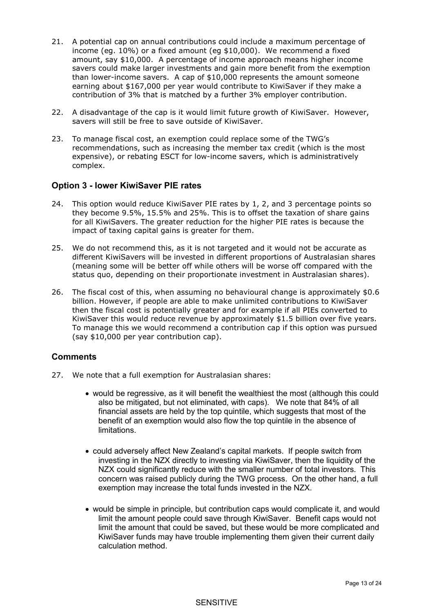- income (eg. 10%) or a fixed amount (eg \$10,000). We recommend a fixed amount, say \$10,000. A percentage of income approach means higher income earning about \$167,000 per year would contribute to KiwiSaver if they make a contribution of 3% that is matched by a further 3% employer contribution. 21. A potential cap on annual contributions could include a maximum percentage of savers could make larger investments and gain more benefit from the exemption than lower-income savers. A cap of \$10,000 represents the amount someone
- 22. A disadvantage of the cap is it would limit future growth of KiwiSaver. However, savers will still be free to save outside of KiwiSaver.
- expensive), or rebating ESCT for low-income savers, which is administratively complex. 23. To manage fiscal cost, an exemption could replace some of the TWG's recommendations, such as increasing the member tax credit (which is the most

### **Option 3 - lower KiwiSaver PIE rates**

- impact of taxing capital gains is greater for them. 24. This option would reduce KiwiSaver PIE rates by 1, 2, and 3 percentage points so they become 9.5%, 15.5% and 25%. This is to offset the taxation of share gains for all KiwiSavers. The greater reduction for the higher PIE rates is because the
- (meaning some will be better off while others will be worse off compared with the 25. We do not recommend this, as it is not targeted and it would not be accurate as different KiwiSavers will be invested in different proportions of Australasian shares status quo, depending on their proportionate investment in Australasian shares).
- (say \$10,000 per year contribution cap). 26. The fiscal cost of this, when assuming no behavioural change is approximately \$0.6 billion. However, if people are able to make unlimited contributions to KiwiSaver then the fiscal cost is potentially greater and for example if all PIEs converted to KiwiSaver this would reduce revenue by approximately \$1.5 billion over five years. To manage this we would recommend a contribution cap if this option was pursued

### **Comments**

- 27. We note that a full exemption for Australasian shares:
	- • would be regressive, as it will benefit the wealthiest the most (although this could also be mitigated, but not eliminated, with caps). We note that 84% of all financial assets are held by the top quintile, which suggests that most of the benefit of an exemption would also flow the top quintile in the absence of limitations.
	- • could adversely affect New Zealand's capital markets. If people switch from investing in the NZX directly to investing via KiwiSaver, then the liquidity of the NZX could significantly reduce with the smaller number of total investors. This concern was raised publicly during the TWG process. On the other hand, a full exemption may increase the total funds invested in the NZX.
	- • would be simple in principle, but contribution caps would complicate it, and would limit the amount people could save through KiwiSaver. Benefit caps would not limit the amount that could be saved, but these would be more complicated and KiwiSaver funds may have trouble implementing them given their current daily calculation method.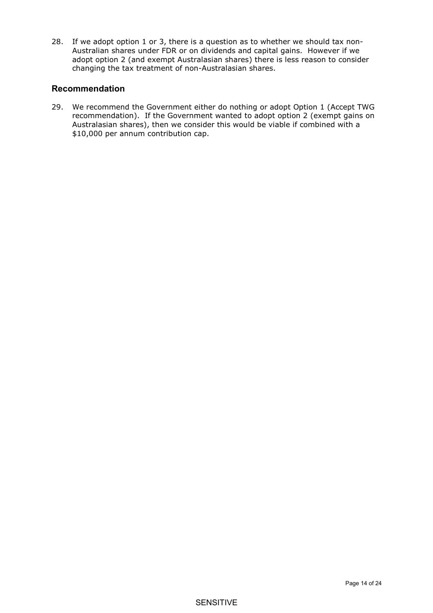changing the tax treatment of non-Australasian shares. 28. If we adopt option 1 or 3, there is a question as to whether we should tax non-Australian shares under FDR or on dividends and capital gains. However if we adopt option 2 (and exempt Australasian shares) there is less reason to consider

## **Recommendation**

 recommendation). If the Government wanted to adopt option 2 (exempt gains on 29. We recommend the Government either do nothing or adopt Option 1 (Accept TWG Australasian shares), then we consider this would be viable if combined with a \$10,000 per annum contribution cap.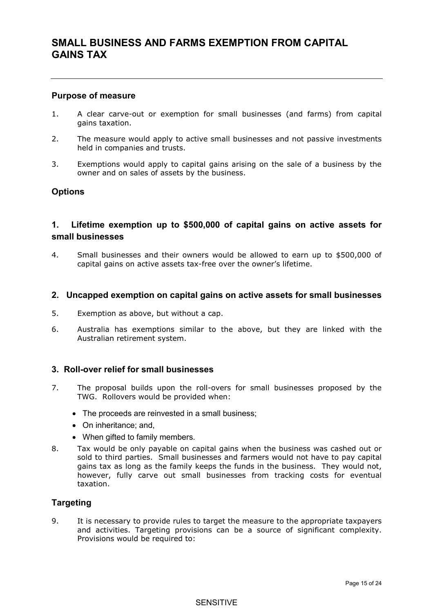### **Purpose of measure**

- 1. A clear carve-out or exemption for small businesses (and farms) from capital gains taxation.
- 2. The measure would apply to active small businesses and not passive investments held in companies and trusts.
- 3. Exemptions would apply to capital gains arising on the sale of a business by the owner and on sales of assets by the business.

### **Options**

## **1. Lifetime exemption up to \$500,000 of capital gains on active assets for small businesses**

4. Small businesses and their owners would be allowed to earn up to \$500,000 of capital gains on active assets tax-free over the owner's lifetime.

### **2. Uncapped exemption on capital gains on active assets for small businesses**

- 5. Exemption as above, but without a cap.
- 6. Australia has exemptions similar to the above, but they are linked with the Australian retirement system.

### **3. Roll-over relief for small businesses**

- 7. The proposal builds upon the roll-overs for small businesses proposed by the TWG. Rollovers would be provided when:
	- The proceeds are reinvested in a small business;
	- On inheritance; and,
	- When gifted to family members.
- 8. Tax would be only payable on capital gains when the business was cashed out or however, fully carve out small businesses from tracking costs for eventual taxation. sold to third parties. Small businesses and farmers would not have to pay capital gains tax as long as the family keeps the funds in the business. They would not,

### **Targeting**

and activities. Targeting provisions can be a source of significant complexity.<br>Provisions would be required to: 9. It is necessary to provide rules to target the measure to the appropriate taxpayers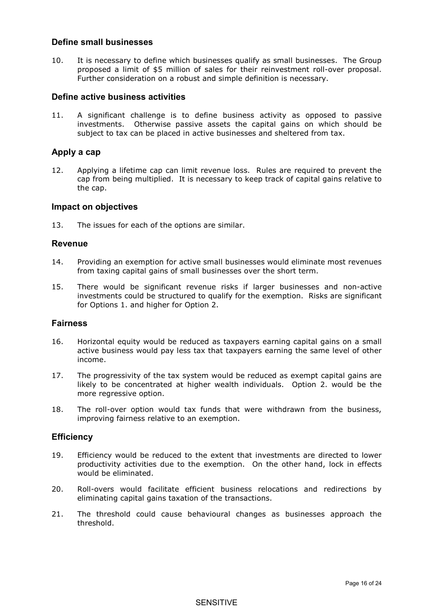### **Define small businesses**

 10. It is necessary to define which businesses qualify as small businesses. The Group proposed a limit of \$5 million of sales for their reinvestment roll-over proposal.<br>Further consideration on a robust and simple definition is necessary.

#### **Define active business activities**

 investments. Otherwise passive assets the capital gains on which should be subject to tax can be placed in active businesses and sheltered from tax. 11. A significant challenge is to define business activity as opposed to passive

### **Apply a cap**

 cap from being multiplied. It is necessary to keep track of capital gains relative to 12. Applying a lifetime cap can limit revenue loss. Rules are required to prevent the the cap.

### **Impact on objectives**

13. The issues for each of the options are similar.

### **Revenue**

- 14. Providing an exemption for active small businesses would eliminate most revenues from taxing capital gains of small businesses over the short term.
- 15. There would be significant revenue risks if larger businesses and non-active investments could be structured to qualify for the exemption. Risks are significant for Options 1. and higher for Option 2.

### **Fairness**

- 16. Horizontal equity would be reduced as taxpayers earning capital gains on a small active business would pay less tax that taxpayers earning the same level of other income.
- 17. The progressivity of the tax system would be reduced as exempt capital gains are more regressive option. likely to be concentrated at higher wealth individuals. Option 2. would be the
- 18. The roll-over option would tax funds that were withdrawn from the business, improving fairness relative to an exemption.

### **Efficiency**

- productivity activities due to the exemption. On the other hand, lock in effects would be eliminated. 19. Efficiency would be reduced to the extent that investments are directed to lower
- 20. Roll-overs would facilitate efficient business relocations and redirections by eliminating capital gains taxation of the transactions.
- 21. The threshold could cause behavioural changes as businesses approach the threshold.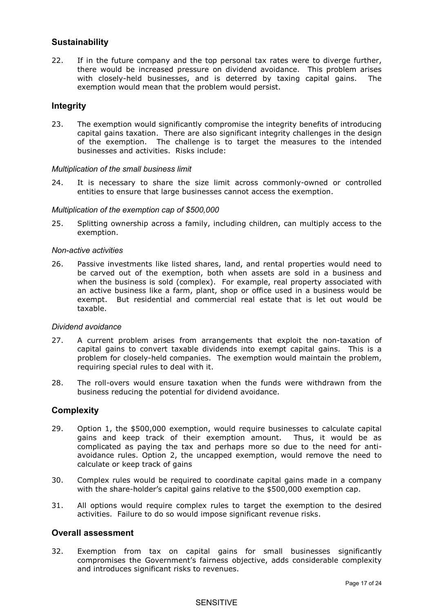## **Sustainability**

 there would be increased pressure on dividend avoidance. This problem arises 22. If in the future company and the top personal tax rates were to diverge further, with closely-held businesses, and is deterred by taxing capital gains. The exemption would mean that the problem would persist.

### **Integrity**

 capital gains taxation. There are also significant integrity challenges in the design of the exemption. The challenge is to target the measures to the intended 23. The exemption would significantly compromise the integrity benefits of introducing businesses and activities. Risks include:

#### *Multiplication of the small business limit*

24. It is necessary to share the size limit across commonly-owned or controlled entities to ensure that large businesses cannot access the exemption.

#### *Multiplication of the exemption cap of \$500,000*

 25. Splitting ownership across a family, including children, can multiply access to the exemption.

#### *Non-active activities*

 exempt. But residential and commercial real estate that is let out would be 26. Passive investments like listed shares, land, and rental properties would need to be carved out of the exemption, both when assets are sold in a business and when the business is sold (complex). For example, real property associated with an active business like a farm, plant, shop or office used in a business would be taxable.

#### *Dividend avoidance*

- capital gains to convert taxable dividends into exempt capital gains. This is a problem for closely-held companies. The exemption would maintain the problem, requiring special rules to deal with it. 27. A current problem arises from arrangements that exploit the non-taxation of
- 28. The roll-overs would ensure taxation when the funds were withdrawn from the business reducing the potential for dividend avoidance.

### **Complexity**

- calculate or keep track of gains 29. Option 1, the \$500,000 exemption, would require businesses to calculate capital gains and keep track of their exemption amount. Thus, it would be as complicated as paying the tax and perhaps more so due to the need for antiavoidance rules. Option 2, the uncapped exemption, would remove the need to
- 30. Complex rules would be required to coordinate capital gains made in a company with the share-holder's capital gains relative to the \$500,000 exemption cap.
- activities. Failure to do so would impose significant revenue risks. 31. All options would require complex rules to target the exemption to the desired

#### **Overall assessment**

 compromises the Government's fairness objective, adds considerable complexity 32. Exemption from tax on capital gains for small businesses significantly and introduces significant risks to revenues.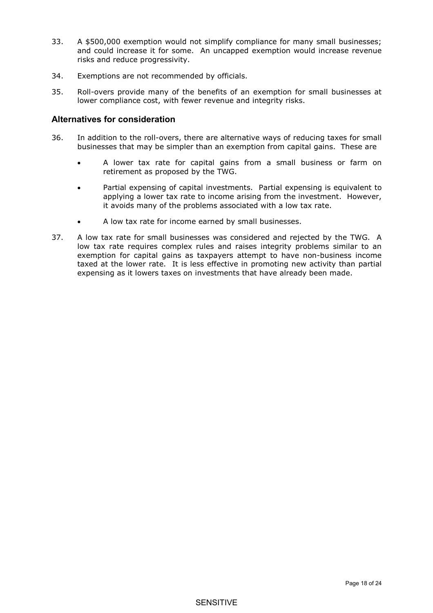- and could increase it for some. An uncapped exemption would increase revenue 33. A \$500,000 exemption would not simplify compliance for many small businesses; risks and reduce progressivity.
- 34. Exemptions are not recommended by officials.
- 35. Roll-overs provide many of the benefits of an exemption for small businesses at lower compliance cost, with fewer revenue and integrity risks.

## **Alternatives for consideration**

- 36. In addition to the roll-overs, there are alternative ways of reducing taxes for small businesses that may be simpler than an exemption from capital gains. These are
	- • A lower tax rate for capital gains from a small business or farm on retirement as proposed by the TWG.
	- applying a lower tax rate to income arising from the investment. However, • Partial expensing of capital investments. Partial expensing is equivalent to it avoids many of the problems associated with a low tax rate.
	- A low tax rate for income earned by small businesses.
- 37. A low tax rate for small businesses was considered and rejected by the TWG. A taxed at the lower rate. It is less effective in promoting new activity than partial expensing as it lowers taxes on investments that have already been made. low tax rate requires complex rules and raises integrity problems similar to an exemption for capital gains as taxpayers attempt to have non-business income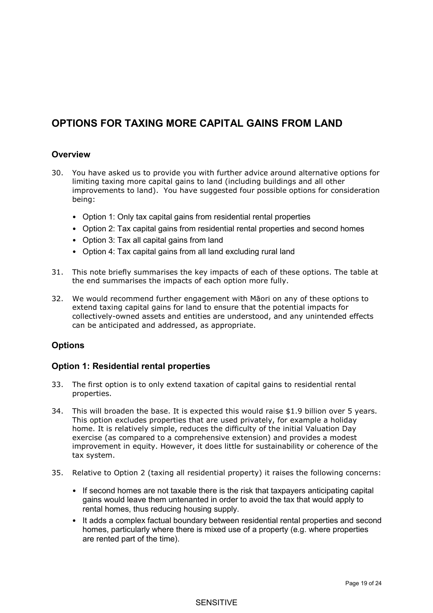# **OPTIONS FOR TAXING MORE CAPITAL GAINS FROM LAND**

## **Overview**

- 30. You have asked us to provide you with further advice around alternative options for limiting taxing more capital gains to land (including buildings and all other improvements to land). You have suggested four possible options for consideration being:
	- Option 1: Only tax capital gains from residential rental properties
	- Option 2: Tax capital gains from residential rental properties and second homes
	- Option 3: Tax all capital gains from land
	- Option 4: Tax capital gains from all land excluding rural land
- 31. This note briefly summarises the key impacts of each of these options. The table at the end summarises the impacts of each option more fully.
- collectively-owned assets and entities are understood, and any unintended effects 32. We would recommend further engagement with Māori on any of these options to extend taxing capital gains for land to ensure that the potential impacts for can be anticipated and addressed, as appropriate.

### **Options**

### **Option 1: Residential rental properties**

- 33. The first option is to only extend taxation of capital gains to residential rental properties.
- 34. This will broaden the base. It is expected this would raise \$1.9 billion over 5 years. This option excludes properties that are used privately, for example a holiday home. It is relatively simple, reduces the difficulty of the initial Valuation Day exercise (as compared to a comprehensive extension) and provides a modest improvement in equity. However, it does little for sustainability or coherence of the tax system.
- 35. Relative to Option 2 (taxing all residential property) it raises the following concerns:
	- • If second homes are not taxable there is the risk that taxpayers anticipating capital gains would leave them untenanted in order to avoid the tax that would apply to rental homes, thus reducing housing supply.
	- • It adds a complex factual boundary between residential rental properties and second homes, particularly where there is mixed use of a property (e.g. where properties are rented part of the time).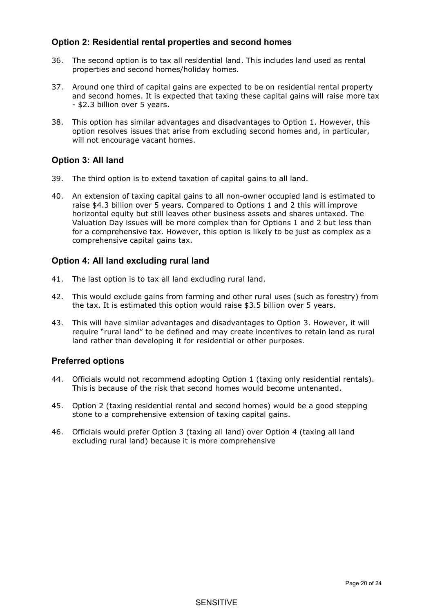## **Option 2: Residential rental properties and second homes**

- 36. The second option is to tax all residential land. This includes land used as rental properties and second homes/holiday homes.
- 37. Around one third of capital gains are expected to be on residential rental property and second homes. It is expected that taxing these capital gains will raise more tax - \$2.3 billion over 5 years.
- 38. This option has similar advantages and disadvantages to Option 1. However, this option resolves issues that arise from excluding second homes and, in particular, will not encourage vacant homes.

## **Option 3: All land**

- 39. The third option is to extend taxation of capital gains to all land.
- raise \$4.3 billion over 5 years. Compared to Options 1 and 2 this will improve horizontal equity but still leaves other business assets and shares untaxed. The 40. An extension of taxing capital gains to all non-owner occupied land is estimated to Valuation Day issues will be more complex than for Options 1 and 2 but less than for a comprehensive tax. However, this option is likely to be just as complex as a comprehensive capital gains tax.

## **Option 4: All land excluding rural land**

- 41. The last option is to tax all land excluding rural land.
- 42. This would exclude gains from farming and other rural uses (such as forestry) from the tax. It is estimated this option would raise \$3.5 billion over 5 years.
- require "rural land" to be defined and may create incentives to retain land as rural 43. This will have similar advantages and disadvantages to Option 3. However, it will land rather than developing it for residential or other purposes.

### **Preferred options**

- This is because of the risk that second homes would become untenanted. 44. Officials would not recommend adopting Option 1 (taxing only residential rentals).
- 45. Option 2 (taxing residential rental and second homes) would be a good stepping stone to a comprehensive extension of taxing capital gains.
- 46. Officials would prefer Option 3 (taxing all land) over Option 4 (taxing all land excluding rural land) because it is more comprehensive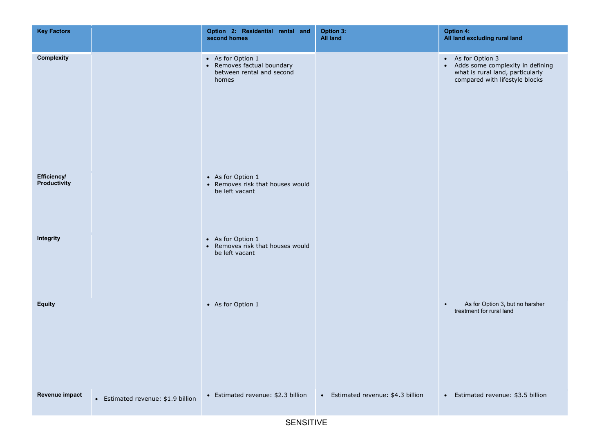| <b>Key Factors</b>                                   | Option 2: Residential rental and<br>second homes                                      | <b>Option 3:</b><br>All land       | <b>Option 4:</b><br>All land excluding rural land                                                                             |
|------------------------------------------------------|---------------------------------------------------------------------------------------|------------------------------------|-------------------------------------------------------------------------------------------------------------------------------|
| Complexity                                           | • As for Option 1<br>• Removes factual boundary<br>between rental and second<br>homes |                                    | • As for Option 3<br>• Adds some complexity in defining<br>what is rural land, particularly<br>compared with lifestyle blocks |
| Efficiency/<br>Productivity                          | • As for Option 1<br>• Removes risk that houses would<br>be left vacant               |                                    |                                                                                                                               |
| Integrity                                            | • As for Option 1<br>• Removes risk that houses would<br>be left vacant               |                                    |                                                                                                                               |
| <b>Equity</b>                                        | • As for Option 1                                                                     |                                    | As for Option 3, but no harsher<br>$\bullet$<br>treatment for rural land                                                      |
| Revenue impact<br>• Estimated revenue: \$1.9 billion | • Estimated revenue: \$2.3 billion                                                    | • Estimated revenue: \$4.3 billion | • Estimated revenue: \$3.5 billion                                                                                            |
|                                                      |                                                                                       |                                    |                                                                                                                               |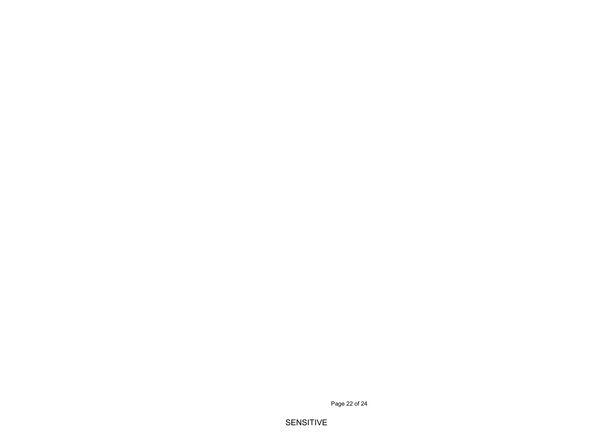Page 22 of 24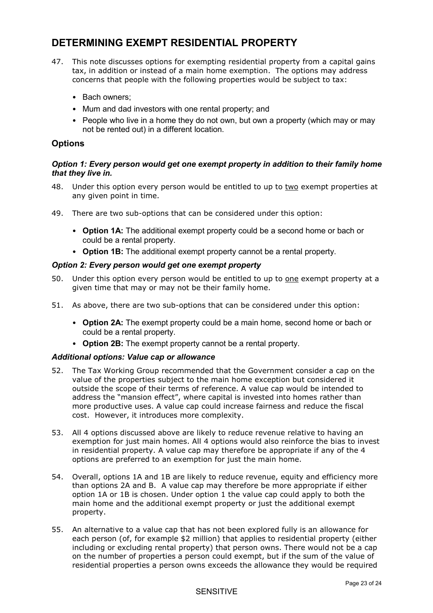# **DETERMINING EXEMPT RESIDENTIAL PROPERTY**

- 47. This note discusses options for exempting residential property from a capital gains tax, in addition or instead of a main home exemption. The options may address concerns that people with the following properties would be subject to tax:
	- Bach owners;
	- Mum and dad investors with one rental property; and
	- • People who live in a home they do not own, but own a property (which may or may not be rented out) in a different location.

## **Options**

### *that they live in. Option 1: Every person would get one exempt property in addition to their family home*

- any given point in time. 48. Under this option every person would be entitled to up to two exempt properties at
- 49. There are two sub-options that can be considered under this option:
	- • **Option 1A:** The additional exempt property could be a second home or bach or could be a rental property.
	- **Option 1B:** The additional exempt property cannot be a rental property.

### *Option 2: Every person would get one exempt property*

- 50. Under this option every person would be entitled to up to one exempt property at a given time that may or may not be their family home.
- 51. As above, there are two sub-options that can be considered under this option:
	- • **Option 2A:** The exempt property could be a main home, second home or bach or could be a rental property.
	- **Option 2B:** The exempt property cannot be a rental property.

#### *Additional options: Value cap or allowance*

- address the "mansion effect", where capital is invested into homes rather than cost. However, it introduces more complexity. 52. The Tax Working Group recommended that the Government consider a cap on the value of the properties subject to the main home exception but considered it outside the scope of their terms of reference. A value cap would be intended to more productive uses. A value cap could increase fairness and reduce the fiscal
- 53. All 4 options discussed above are likely to reduce revenue relative to having an exemption for just main homes. All 4 options would also reinforce the bias to invest in residential property. A value cap may therefore be appropriate if any of the 4 options are preferred to an exemption for just the main home.
- 54. Overall, options 1A and 1B are likely to reduce revenue, equity and efficiency more than options 2A and B. A value cap may therefore be more appropriate if either option 1A or 1B is chosen. Under option 1 the value cap could apply to both the main home and the additional exempt property or just the additional exempt property.
- residential properties a person owns exceeds the allowance they would be required 55. An alternative to a value cap that has not been explored fully is an allowance for each person (of, for example \$2 million) that applies to residential property (either including or excluding rental property) that person owns. There would not be a cap on the number of properties a person could exempt, but if the sum of the value of